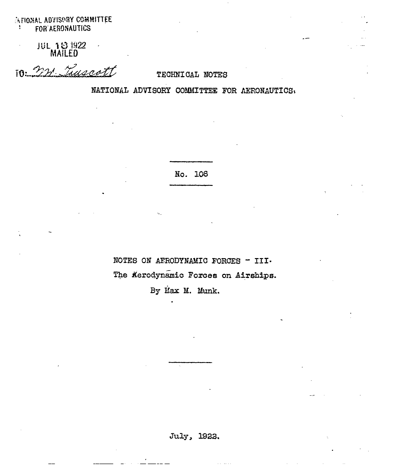**INTIONAL ADVISORY COMMITTEE** FOR AERONAUTICS  $\frac{1}{2}$ 

**JUL 18 1922**<br>MAILED

10: 221 Truscott

## TECHNICAL NOTES

NATIONAL ADVISORY COMMITTEE FOR AERONAUTICS.

No. 106

NOTES ON AERODYNAMIC FORCES - III. The Kerodynamic Forces on Airships.

By Max M. Munk.

July, 1922.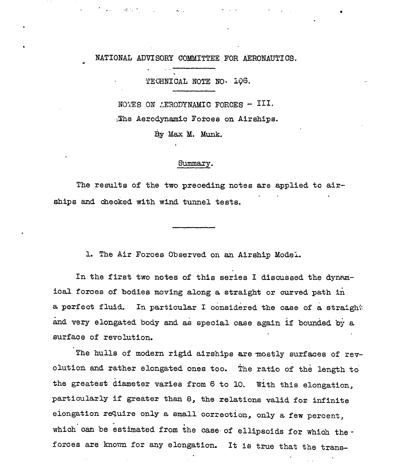NATIONAL ADVISORY COMMITTEE FOR AERONAUTICS.

 $\mathcal{L}_{\rm{max}}$ 

 $\mathcal{A}^{\text{out}}(\mathcal{A})$ 

TECHNICAL NOTE NO. 106.

NOTES ON AERODYNAMIC FORCES - III. The Aerodynamic Forces on Airships.

By Max M. Munk.

## Summary.

The results of the two preceding notes are applied to airships and checked with wind tunnel tests.

1. The Air Forces Observed on an Airship Model.

In the first two notes of this series I discussed the dynamical forces of bodies moving along a straight or curved path in a perfect fluid. In particular I considered the case of a straight and very elongated body and as special case again if bounded by a surface of revolution.

The hulls of modern rigid airships are mostly surfaces of revolution and rather elongated ones too. The ratio of the length to the greatest diameter varies from 6 to 10. With this elongation, particularly if greater than 8, the relations valid for infinite elongation require only a small correction, only a few percent, which can be estimated from the case of ellipsoids for which theforces are known for any elongation. It is true that the trans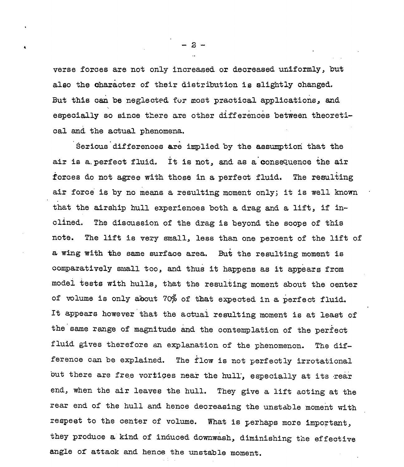verse forces are not only increased or decreased uniformly, but also the character of their distribution is slightly changed. But this can be neglected for most practical applications, and especially so since there are other differences between theoretical and the actual phenomena.

Serious differences are implied by the assumption that the air is a perfect fluid. It is not, and as a consequence the air forces do not agree with those in a perfect fluid. The resulting air force'is by no means ,, a resulting moment only; it is well known  $\cdots$ that the airship hull experiences both a drag and a lift, if inclined. The discussion of the drag is beyond the scope of this note. The lift is very small, less than one percent of the lift of a wing with tie same surface area. But the resulting moment is comparatively small too, and thus it happens as it appears from model tests with hulls, that the resulting moment about the center of volume is only about 70% of that expected in a perfect fluid. It appears however that the actual resulting moment is at least of the same range of magnitude and the contemplation of the perfect fluid gives therefore an explanation of the phenomenon. The difference can be explained. The flow is not perfectly irrotational but there are free vortices near the hull, especially at its rear end, when the air leaves the hull. They give a lift acting at the rear end of the hull and hence decreasing the unstable moment withrespeet to the center of volume. What is perhaps more important, they produce a kind of induced downwash, diminishing the effective angle of attack and hence the unstable moment.

-2- .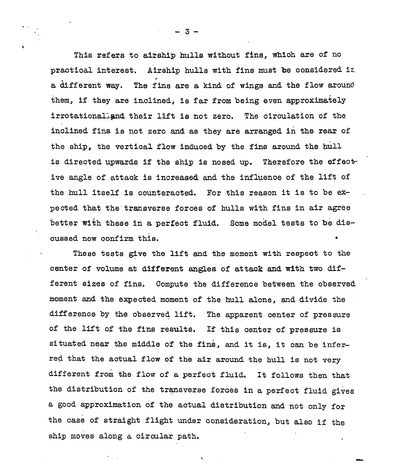This refers to airship hulls without fins, which are of no practical interest. Airship hulls with fins must be considered in . a &fferent way. The fins are a kind of wings and the flow around them, if they are inclined, is far from being even approximately irrotationalignd their lift is not zero. The circulation of the inclined fins is not zero and as they are arranged in the rear of the ship, the vertical flow induced by the fins around the hull is directed upwards if the ship is nosed up. Therefore the effective angle of attaok is increased and the influence of the lift of the hull itself is counteracted. For this reason it is to be expected that the'transverse forces of hulls with fins in air agree better with these in a perfect fluid. Some model tests to be discussed now confirm this.  $\bullet$ 

These tests give the lift and the moment with respect to the center of volume at different angles of attack and with two different sizes of fins. Compute the difference between the observed moment smd the expected moment of the hull alone, and divide the difference by the observed lift. The apparent center of pressure of the lift of the fins results. If this oenter of pressure is situated near the middle of the fins, and it is, it can be inferred that the actual flow of the air around the hull is not very different from the flow of a perfeot fluid. It follows then that the distribution of the transverse forces in a perfect fluid gives a good approximation of the actual distribution and not only for the case of straight flight under consideration, but also if the ship moves along a circular path. I

 $\overline{\phantom{0}}$ 

 $3 -$ 

.,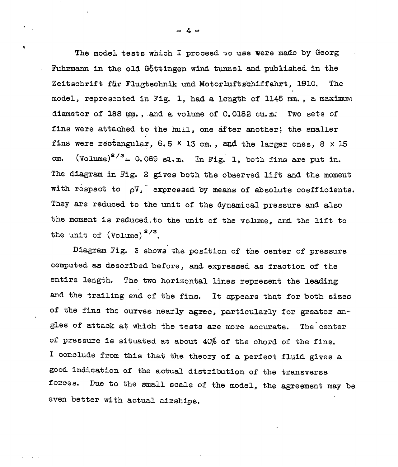The model tests which I prooeed to use were made by Georg Fuhrmann in the old Göttingen wind tunnel and published in the Zeitschrift für Flugtechnik und Motorluftschiffahrt, 1910. The model, represented in Fig. 1, had a length of 1145 mm., a maximum diameter of 188 mm., and a volume of 0.0182 cu.m. Two sets of fins were attached to the hull, one after another; the smaller fins were rectangular, 6.5  $\times$  13 cm., and the larger ones, 8  $\times$  15 cm.  $(Volume)^{2/3} = 0.069$  sq.m. In Fig. 1, both fins are put in. The diagram in Fig. 2 gives both the observed lift end the moment with respect to  $\rho V$ , expressed by means of absolute coefficients. They are reduced to the unit of the dynamical pressure and also the moment is reduced to the unit of the volume, and the lift to the unit of  $(Volume)^{2/3}$ .

Diagram Fig. 3 shows'the position of the oenter of pressure computed as described before, and expressed as fraction of the entire length. The two horizontal lines represent the leading and the trailing end of the fins. It appears that for both sizes of the fins the curves nearly agree, particularly for greater angles of attack at which the tests are more accurate. The center of pressure is situated at about 4@ of the chord of the fins. I conclude from this that the theory of a perfect fluid gives a good indication of the actual distribution of the transverse forces. Due to the small scale of the model, the agreement may be even better with actual airships.

-4"

 $\bullet$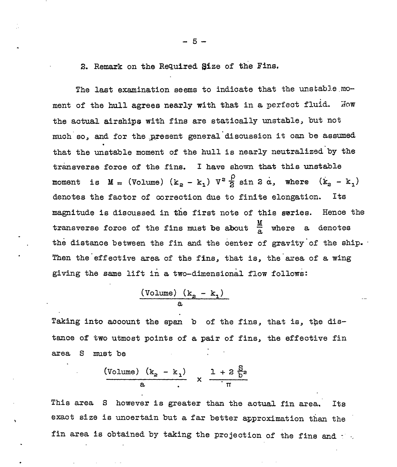## 2. Remark on the Required Size of the Fins.

.

.

.

●

The last examination seems to indicate that the unstable moment of the hull agrees nearly with that in a perfect fluid. Now the actual airships with fins are statically unstable, but not much so, and for the present general discussion it can be assumed . that the unstable moment of the hull is nearly neutralized-by the transverse force of the fins. I have shown that this unstable moment is  $M = (Volume) (k_2 - k_1) V^2 \frac{\rho}{2} \sin 2 \alpha$ , where  $(k_2 - k_1)$ denotes the faotor of correction due to finite elongation. Its magnitude is discussed in the first note of this saries. Hence the transverse force of the fins must be about  $\frac{m}{a}$ the distance between the fin and the center of gravity of the ship. Then the effective area of the fins, that is, the area of a wing giving the same lift in a two-dimensional flow follows:

$$
\frac{(\text{Volume}) (k_g - k_1)}{a}
$$

Taking into account the span  $b$  of the fins, that is, the distance of two utmost points of a pair of fins, the effective fin area S must be

$$
\frac{\text{(Volume)} (k_a - k_1)}{a} \times \frac{1 + 2 \frac{S}{b^2}}{\pi}
$$

This area S however is greater than the actual fin area. Its exact size is uncertain but a far better approximation than the fin area is obtained by taking the projection of the fins and  $\cdot$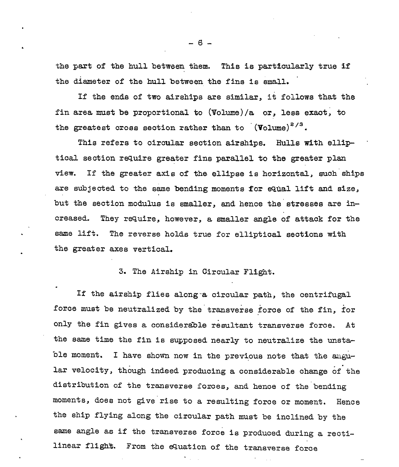the part of the hull between them. This is particularly true if the diameter of the hull between the fins is small.

If the ends of two airships are similar, it follows that the fin area must be proportional to (Volume)/a or, less exaot; to the greatest cross section rather than to  $(V_{\text{olume}})^{2/3}$ .

This refers to circular section airships. Hulls with elliptical section require greater fins parallel to the greater plan view. If the greater axis of the ellipse is horizontal, such ships are subjected to the same bending moments for equal lift and size, but the section modulus is smaller, and hence the stresses are in creased. They require, however, a smaller angle of attack for the . ssme lift. The reverse holds true for elliptical sections with the greater axes vertical.

3. The Airship in circular Flight.

.

.

If the airship flies along-a circular path, the centrifugal force must be neutralized by the transverse force of the fin, for only the fin gives a considerable resultant transverse force. At the same time the fin is supposed nearly to neutralize the unsta ble moment. I have shown now in the previous note that the angular . velocity, though indeed producing a considerable change of the distribution of the transverse forces, and hence of the bending moments, does not give rise to a resulting force or moment. Hence the ship flying along the circular path must be inclined by the same angle as if the transverse force is produced during a rectilinear flight. From the equation of the transverse force

—

-6-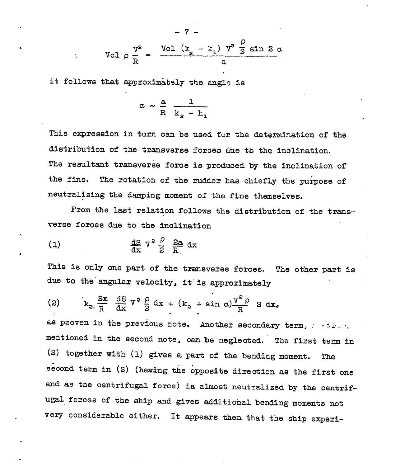$$
\text{Vol } \rho \frac{v^2}{R} = \frac{\text{Vol } (k_2 - k_1) v^2 \frac{\rho}{2} \sin 2\alpha}{a}
$$

it follows that approximately the angle is

$$
\alpha \sim \frac{a}{R} \frac{1}{k_2 - k_1}
$$

This expression in turn oan be used fur the determination of the distribution of the transverse forces due to the inclination. The resultant transverse force is produced by the inclination of the fins. The rotation of the rudder has chiefly the purpose of neutralizing the damping moment of the fins themselves.

From the last relation follows the distribution of the transverse foroes due to the inclination

$$
\frac{dS}{dx}V^2\frac{\rho}{2}\frac{2a}{R}dx
$$

.

.

This is only one part of the transverse forces. The other part is due to the angular velocity, it is approximately

$$
(2) \t k_{z} \frac{2x}{R} \frac{dS}{dx} V^z \frac{\rho}{2} dx + (k_z + \sin \alpha) \frac{V^z \rho}{R} S dx,
$$

as proven in the previous note. Another secondary mentioned in the second note, can be neglected. The first term in (2) together with (1) gives a part of the bending moment. The second term in (2) (having the opposite direction as the first one and as the centrifugal force) ia almost neutzalizea by the centrifugal forces of the ship and gives additional bending moments not very considerable either. It appears then that the ship experi-

$$
\mathbf{L}^{\text{max}}
$$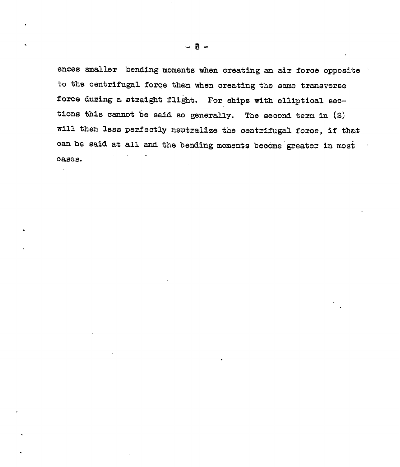ences smaller bending moments when creating an air force opposite ' to the centrifugal force than when creating the same transverse force during a straight flight. For ships with elliptical sections this cannot be said so generally. The second term in (2) will then less perfectly neutralize the centrifugal force, if that can be said at all and the bending moments become greater in most cases.

 $\mathbf{v}$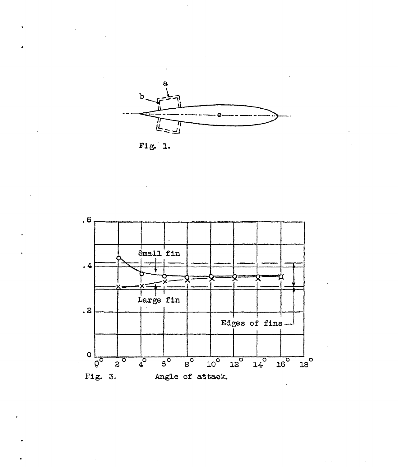

Fig. 1.